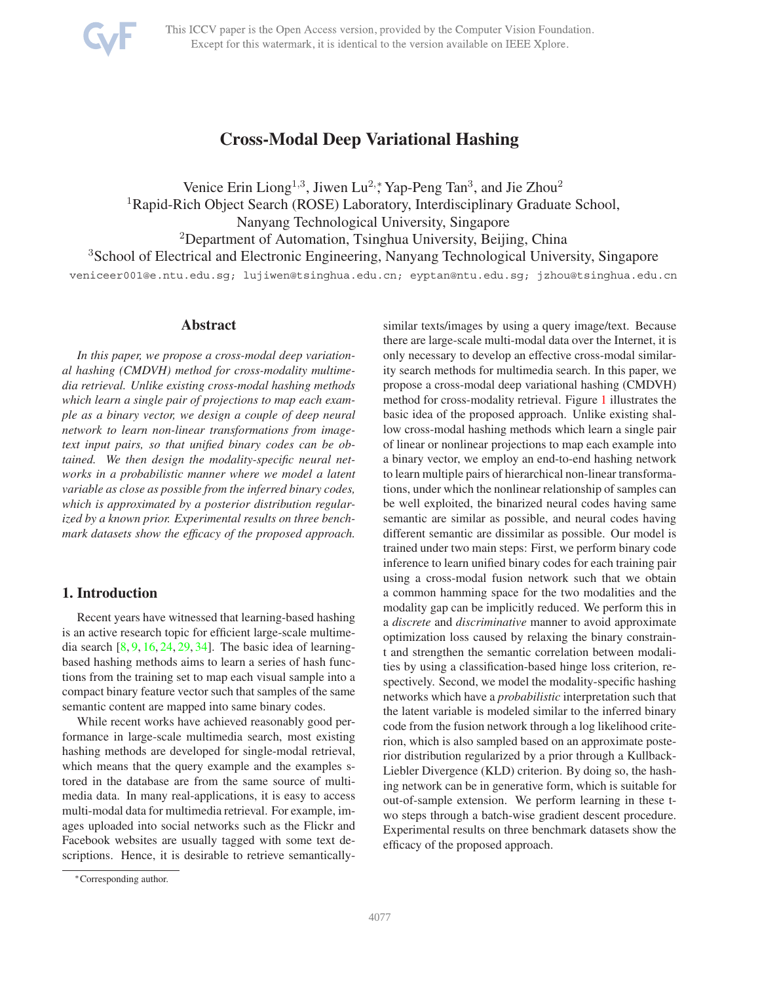<span id="page-0-0"></span>

# **Cross-Modal Deep Variational Hashing**

Venice Erin Liong<sup>1,3</sup>, Jiwen Lu<sup>2,</sup>\*, Yap-Peng Tan<sup>3</sup>, and Jie Zhou<sup>2</sup> <sup>1</sup>Rapid-Rich Object Search (ROSE) Laboratory, Interdisciplinary Graduate School, Nanyang Technological University, Singapore <sup>2</sup>Department of Automation, Tsinghua University, Beijing, China <sup>3</sup>School of Electrical and Electronic Engineering, Nanyang Technological University, Singapore veniceer001@e.ntu.edu.sg; lujiwen@tsinghua.edu.cn; eyptan@ntu.edu.sg; jzhou@tsinghua.edu.cn

### **Abstract**

*In this paper, we propose a cross-modal deep variational hashing (CMDVH) method for cross-modality multimedia retrieval. Unlike existing cross-modal hashing methods which learn a single pair of projections to map each example as a binary vector, we design a couple of deep neural network to learn non-linear transformations from imagetext input pairs, so that unified binary codes can be obtained. We then design the modality-specific neural networks in a probabilistic manner where we model a latent variable as close as possible from the inferred binary codes, which is approximated by a posterior distribution regularized by a known prior. Experimental results on three benchmark datasets show the efficacy of the proposed approach.*

# **1. Introduction**

Recent years have witnessed that learning-based hashing is an active research topic for efficient large-scale multimedia search  $[8, 9, 16, 24, 29, 34]$  $[8, 9, 16, 24, 29, 34]$  $[8, 9, 16, 24, 29, 34]$  $[8, 9, 16, 24, 29, 34]$  $[8, 9, 16, 24, 29, 34]$  $[8, 9, 16, 24, 29, 34]$  $[8, 9, 16, 24, 29, 34]$  $[8, 9, 16, 24, 29, 34]$  $[8, 9, 16, 24, 29, 34]$  $[8, 9, 16, 24, 29, 34]$ . The basic idea of learningbased hashing methods aims to learn a series of hash functions from the training set to map each visual sample into a compact binary feature vector such that samples of the same semantic content are mapped into same binary codes.

While recent works have achieved reasonably good performance in large-scale multimedia search, most existing hashing methods are developed for single-modal retrieval, which means that the query example and the examples stored in the database are from the same source of multimedia data. In many real-applications, it is easy to access multi-modal data for multimedia retrieval. For example, images uploaded into social networks such as the Flickr and Facebook websites are usually tagged with some text descriptions. Hence, it is desirable to retrieve semanticallysimilar texts/images by using a query image/text. Because there are large-scale multi-modal data over the Internet, it is only necessary to develop an effective cross-modal similarity search methods for multimedia search. In this paper, we propose a cross-modal deep variational hashing (CMDVH) method for cross-modality retrieval. Figure [1](#page-1-0) illustrates the basic idea of the proposed approach. Unlike existing shallow cross-modal hashing methods which learn a single pair of linear or nonlinear projections to map each example into a binary vector, we employ an end-to-end hashing network to learn multiple pairs of hierarchical non-linear transformations, under which the nonlinear relationship of samples can be well exploited, the binarized neural codes having same semantic are similar as possible, and neural codes having different semantic are dissimilar as possible. Our model is trained under two main steps: First, we perform binary code inference to learn unified binary codes for each training pair using a cross-modal fusion network such that we obtain a common hamming space for the two modalities and the modality gap can be implicitly reduced. We perform this in a *discrete* and *discriminative* manner to avoid approximate optimization loss caused by relaxing the binary constraint and strengthen the semantic correlation between modalities by using a classification-based hinge loss criterion, respectively. Second, we model the modality-specific hashing networks which have a *probabilistic* interpretation such that the latent variable is modeled similar to the inferred binary code from the fusion network through a log likelihood criterion, which is also sampled based on an approximate posterior distribution regularized by a prior through a Kullback-Liebler Divergence (KLD) criterion. By doing so, the hashing network can be in generative form, which is suitable for out-of-sample extension. We perform learning in these two steps through a batch-wise gradient descent procedure. Experimental results on three benchmark datasets show the efficacy of the proposed approach.

<sup>∗</sup>Corresponding author.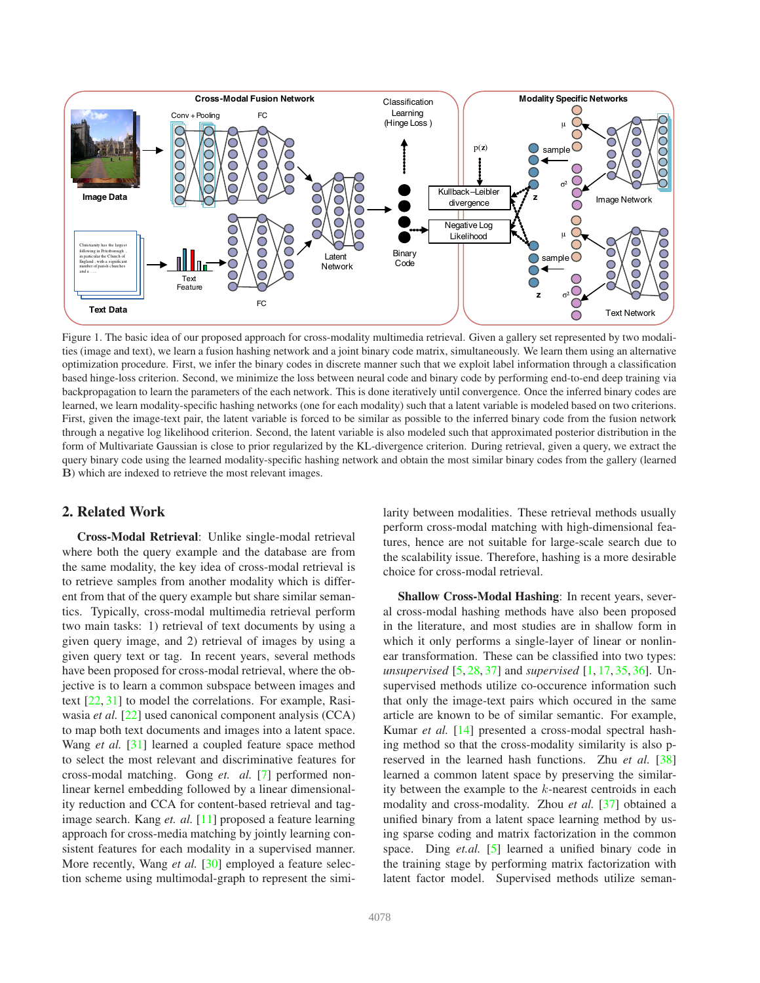<span id="page-1-1"></span>

<span id="page-1-0"></span>Figure 1. The basic idea of our proposed approach for cross-modality multimedia retrieval. Given a gallery set represented by two modalities (image and text), we learn a fusion hashing network and a joint binary code matrix, simultaneously. We learn them using an alternative optimization procedure. First, we infer the binary codes in discrete manner such that we exploit label information through a classification based hinge-loss criterion. Second, we minimize the loss between neural code and binary code by performing end-to-end deep training via backpropagation to learn the parameters of the each network. This is done iteratively until convergence. Once the inferred binary codes are learned, we learn modality-specific hashing networks (one for each modality) such that a latent variable is modeled based on two criterions. First, given the image-text pair, the latent variable is forced to be similar as possible to the inferred binary code from the fusion network through a negative log likelihood criterion. Second, the latent variable is also modeled such that approximated posterior distribution in the form of Multivariate Gaussian is close to prior regularized by the KL-divergence criterion. During retrieval, given a query, we extract the query binary code using the learned modality-specific hashing network and obtain the most similar binary codes from the gallery (learned B) which are indexed to retrieve the most relevant images.

# **2. Related Work**

**Cross-Modal Retrieval**: Unlike single-modal retrieval where both the query example and the database are from the same modality, the key idea of cross-modal retrieval is to retrieve samples from another modality which is different from that of the query example but share similar semantics. Typically, cross-modal multimedia retrieval perform two main tasks: 1) retrieval of text documents by using a given query image, and 2) retrieval of images by using a given query text or tag. In recent years, several methods have been proposed for cross-modal retrieval, where the objective is to learn a common subspace between images and text [\[22,](#page-8-6) [31\]](#page-8-7) to model the correlations. For example, Rasiwasia *et al.* [\[22\]](#page-8-6) used canonical component analysis (CCA) to map both text documents and images into a latent space. Wang *et al.* [\[31\]](#page-8-7) learned a coupled feature space method to select the most relevant and discriminative features for cross-modal matching. Gong *et. al.* [\[7\]](#page-8-8) performed nonlinear kernel embedding followed by a linear dimensionality reduction and CCA for content-based retrieval and tagimage search. Kang *et. al.* [\[11\]](#page-8-9) proposed a feature learning approach for cross-media matching by jointly learning consistent features for each modality in a supervised manner. More recently, Wang *et al.* [\[30\]](#page-8-10) employed a feature selection scheme using multimodal-graph to represent the similarity between modalities. These retrieval methods usually perform cross-modal matching with high-dimensional features, hence are not suitable for large-scale search due to the scalability issue. Therefore, hashing is a more desirable choice for cross-modal retrieval.

**Shallow Cross-Modal Hashing**: In recent years, several cross-modal hashing methods have also been proposed in the literature, and most studies are in shallow form in which it only performs a single-layer of linear or nonlinear transformation. These can be classified into two types: *unsupervised* [\[5,](#page-8-11) [28,](#page-8-12) [37\]](#page-8-13) and *supervised* [\[1,](#page-8-14) [17,](#page-8-15) [35,](#page-8-16) [36\]](#page-8-17). Unsupervised methods utilize co-occurence information such that only the image-text pairs which occured in the same article are known to be of similar semantic. For example, Kumar *et al.* [\[14\]](#page-8-18) presented a cross-modal spectral hashing method so that the cross-modality similarity is also preserved in the learned hash functions. Zhu *et al.* [\[38\]](#page-8-19) learned a common latent space by preserving the similarity between the example to the  $k$ -nearest centroids in each modality and cross-modality. Zhou *et al.* [\[37\]](#page-8-13) obtained a unified binary from a latent space learning method by using sparse coding and matrix factorization in the common space. Ding *et.al.* [\[5\]](#page-8-11) learned a unified binary code in the training stage by performing matrix factorization with latent factor model. Supervised methods utilize seman-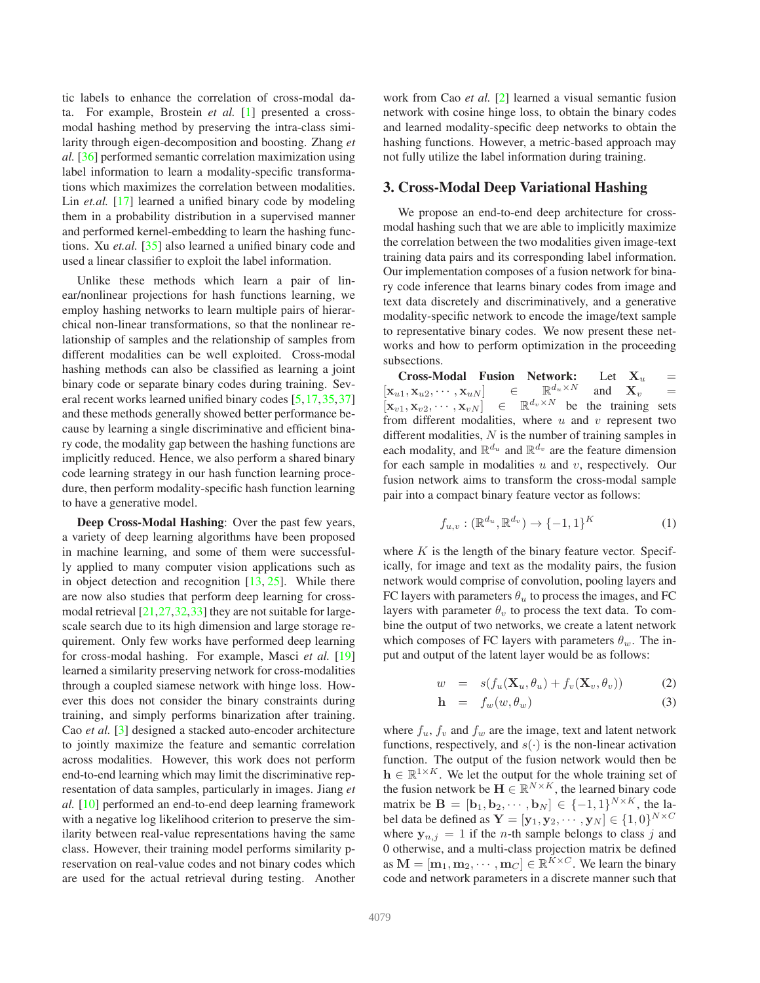<span id="page-2-0"></span>tic labels to enhance the correlation of cross-modal data. For example, Brostein *et al.* [\[1\]](#page-8-14) presented a crossmodal hashing method by preserving the intra-class similarity through eigen-decomposition and boosting. Zhang *et al.* [\[36\]](#page-8-17) performed semantic correlation maximization using label information to learn a modality-specific transformations which maximizes the correlation between modalities. Lin *et.al.* [\[17\]](#page-8-15) learned a unified binary code by modeling them in a probability distribution in a supervised manner and performed kernel-embedding to learn the hashing functions. Xu *et.al.* [\[35\]](#page-8-16) also learned a unified binary code and used a linear classifier to exploit the label information.

Unlike these methods which learn a pair of linear/nonlinear projections for hash functions learning, we employ hashing networks to learn multiple pairs of hierarchical non-linear transformations, so that the nonlinear relationship of samples and the relationship of samples from different modalities can be well exploited. Cross-modal hashing methods can also be classified as learning a joint binary code or separate binary codes during training. Several recent works learned unified binary codes [\[5,](#page-8-11)[17,](#page-8-15)[35,](#page-8-16)[37\]](#page-8-13) and these methods generally showed better performance because by learning a single discriminative and efficient binary code, the modality gap between the hashing functions are implicitly reduced. Hence, we also perform a shared binary code learning strategy in our hash function learning procedure, then perform modality-specific hash function learning to have a generative model.

**Deep Cross-Modal Hashing**: Over the past few years, a variety of deep learning algorithms have been proposed in machine learning, and some of them were successfully applied to many computer vision applications such as in object detection and recognition  $[13, 25]$  $[13, 25]$ . While there are now also studies that perform deep learning for crossmodal retrieval [\[21,](#page-8-22)[27,](#page-8-23)[32,](#page-8-24)[33\]](#page-8-25) they are not suitable for largescale search due to its high dimension and large storage requirement. Only few works have performed deep learning for cross-modal hashing. For example, Masci *et al.* [\[19\]](#page-8-26) learned a similarity preserving network for cross-modalities through a coupled siamese network with hinge loss. However this does not consider the binary constraints during training, and simply performs binarization after training. Cao *et al.* [\[3\]](#page-8-27) designed a stacked auto-encoder architecture to jointly maximize the feature and semantic correlation across modalities. However, this work does not perform end-to-end learning which may limit the discriminative representation of data samples, particularly in images. Jiang *et al.* [\[10\]](#page-8-28) performed an end-to-end deep learning framework with a negative log likelihood criterion to preserve the similarity between real-value representations having the same class. However, their training model performs similarity preservation on real-value codes and not binary codes which are used for the actual retrieval during testing. Another work from Cao *et al.* [\[2\]](#page-8-29) learned a visual semantic fusion network with cosine hinge loss, to obtain the binary codes and learned modality-specific deep networks to obtain the hashing functions. However, a metric-based approach may not fully utilize the label information during training.

## **3. Cross-Modal Deep Variational Hashing**

We propose an end-to-end deep architecture for crossmodal hashing such that we are able to implicitly maximize the correlation between the two modalities given image-text training data pairs and its corresponding label information. Our implementation composes of a fusion network for binary code inference that learns binary codes from image and text data discretely and discriminatively, and a generative modality-specific network to encode the image/text sample to representative binary codes. We now present these networks and how to perform optimization in the proceeding subsections.

**Cross-Modal Fusion Network:** Let  $X_u$  =<br>  $X_{u,2}, \cdots, X_{u,N}$   $\in$   $\mathbb{R}^{d_u \times N}$  and  $X_v$  =  $[\mathbf{x}_{u1}, \mathbf{x}_{u2}, \cdots, \mathbf{x}_{uN}] \in$  $d_u \times N$  and  $\mathbf{X}_v$  =  $\left[\mathbf{x}_{v1}, \mathbf{x}_{v2}, \cdots, \mathbf{x}_{vN}\right] \in \mathbb{R}^{d_v \times N}$  be the training sets from different modalities, where  $u$  and  $v$  represent two different modalities,  $N$  is the number of training samples in each modality, and  $\mathbb{R}^{d_u}$  and  $\mathbb{R}^{d_v}$  are the feature dimension for each sample in modalities  $u$  and  $v$ , respectively. Our fusion network aims to transform the cross-modal sample pair into a compact binary feature vector as follows:

$$
f_{u,v} : (\mathbb{R}^{d_u}, \mathbb{R}^{d_v}) \to \{-1,1\}^K
$$
 (1)

where  $K$  is the length of the binary feature vector. Specifically, for image and text as the modality pairs, the fusion network would comprise of convolution, pooling layers and FC layers with parameters  $\theta_u$  to process the images, and FC layers with parameter  $\theta_v$  to process the text data. To combine the output of two networks, we create a latent network which composes of FC layers with parameters  $\theta_w$ . The input and output of the latent layer would be as follows:

$$
w = s(f_u(\mathbf{X}_u, \theta_u) + f_v(\mathbf{X}_v, \theta_v))
$$
 (2)

$$
\mathbf{h} = f_w(w, \theta_w) \tag{3}
$$

where  $f_u$ ,  $f_v$  and  $f_w$  are the image, text and latent network functions, respectively, and  $s(·)$  is the non-linear activation function. The output of the fusion network would then be  $h \in \mathbb{R}^{1 \times K}$ . We let the output for the whole training set of the fusion network be  $\mathbf{H} \in \mathbb{R}^{N \times K}$ , the learned binary code matrix be  $\mathbf{B} = [\mathbf{b}_1, \mathbf{b}_2, \cdots, \mathbf{b}_N] \in \{-1, 1\}^{N \times K}$ , the label data be defined as  $\mathbf{Y} = [\mathbf{y}_1, \mathbf{y}_2, \cdots, \mathbf{y}_N] \in \{1, 0\}^{N \times C}$ where  $y_{n,i} = 1$  if the *n*-th sample belongs to class *j* and 0 otherwise, and a multi-class projection matrix be defined as  $\mathbf{M} = [\mathbf{m}_1, \mathbf{m}_2, \cdots, \mathbf{m}_C] \in \mathbb{R}^{\tilde{K} \times C}$ . We learn the binary code and network parameters in a discrete manner such that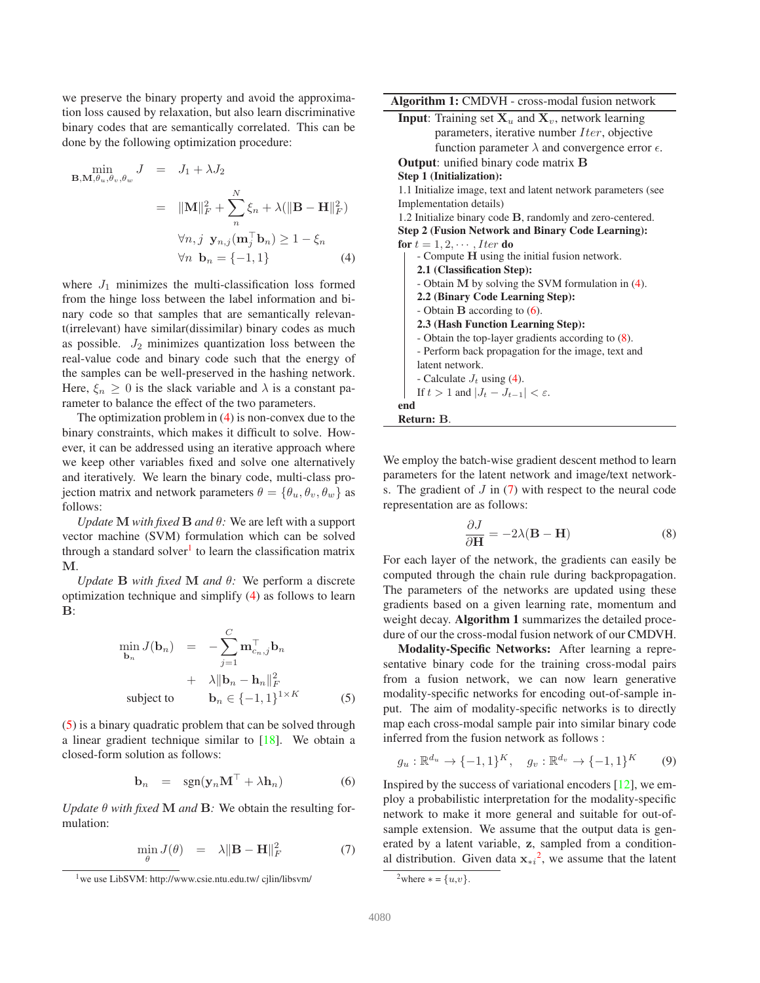<span id="page-3-8"></span>we preserve the binary property and avoid the approximation loss caused by relaxation, but also learn discriminative binary codes that are semantically correlated. This can be done by the following optimization procedure:

<span id="page-3-0"></span>
$$
\min_{\mathbf{B}, \mathbf{M}, \theta_u, \theta_v, \theta_w} J = J_1 + \lambda J_2
$$
\n
$$
= ||\mathbf{M}||_F^2 + \sum_{n}^{N} \xi_n + \lambda (||\mathbf{B} - \mathbf{H}||_F^2)
$$
\n
$$
\forall n, j \ \mathbf{y}_{n,j}(\mathbf{m}_j^\top \mathbf{b}_n) \ge 1 - \xi_n
$$
\n
$$
\forall n \ \mathbf{b}_n = \{-1, 1\}
$$
\n(4)

where  $J_1$  minimizes the multi-classification loss formed from the hinge loss between the label information and binary code so that samples that are semantically relevant(irrelevant) have similar(dissimilar) binary codes as much as possible.  $J_2$  minimizes quantization loss between the real-value code and binary code such that the energy of the samples can be well-preserved in the hashing network. Here,  $\xi_n \geq 0$  is the slack variable and  $\lambda$  is a constant parameter to balance the effect of the two parameters.

The optimization problem in [\(4\)](#page-3-0) is non-convex due to the binary constraints, which makes it difficult to solve. However, it can be addressed using an iterative approach where we keep other variables fixed and solve one alternatively and iteratively. We learn the binary code, multi-class projection matrix and network parameters  $\theta = {\theta_u, \theta_v, \theta_w}$  as follows:

*Update* **M** *with fixed* **B** *and*  $\theta$ : We are left with a support vector machine (SVM) formulation which can be solved through a standard solver<sup>[1](#page-3-1)</sup> to learn the classification matrix M.

*Update* **B** *with fixed* **M** *and*  $\theta$ *:* We perform a discrete optimization technique and simplify [\(4\)](#page-3-0) as follows to learn  $\mathbf{B}$ 

<span id="page-3-2"></span>
$$
\min_{\mathbf{b}_n} J(\mathbf{b}_n) = -\sum_{j=1}^C \mathbf{m}_{c_n,j}^\top \mathbf{b}_n \n+ \lambda \|\mathbf{b}_n - \mathbf{h}_n\|_F^2 \n\text{subject to} \qquad \mathbf{b}_n \in \{-1, 1\}^{1 \times K} \tag{5}
$$

[\(5\)](#page-3-2) is a binary quadratic problem that can be solved through a linear gradient technique similar to [\[18\]](#page-8-30). We obtain a closed-form solution as follows:

<span id="page-3-3"></span>
$$
\mathbf{b}_n = \text{sgn}(\mathbf{y}_n \mathbf{M}^\top + \lambda \mathbf{h}_n) \tag{6}
$$

*Update*  $\theta$  *with fixed* **M** *and* **B**: We obtain the resulting formulation:

<span id="page-3-5"></span>
$$
\min_{\theta} J(\theta) = \lambda \|\mathbf{B} - \mathbf{H}\|_{F}^{2} \tag{7}
$$

**Algorithm 1:** CMDVH - cross-modal fusion network **Input**: Training set  $X_u$  and  $X_v$ , network learning parameters, iterative number  $Iter$ , objective function parameter  $\lambda$  and convergence error  $\epsilon$ . **Output**: unified binary code matrix B **Step 1 (Initialization):** 1.1 Initialize image, text and latent network parameters (see Implementation details) 1.2 Initialize binary code B, randomly and zero-centered. **Step 2 (Fusion Network and Binary Code Learning): for**  $t = 1, 2, \cdots$ , *Iter* **do** - Compute H using the initial fusion network. **2.1 (Classification Step):** - Obtain M by solving the SVM formulation in [\(4\)](#page-3-0). **2.2 (Binary Code Learning Step):** - Obtain B according to [\(6\)](#page-3-3). **2.3 (Hash Function Learning Step):** - Obtain the top-layer gradients according to [\(8\)](#page-3-4). - Perform back propagation for the image, text and latent network. - Calculate  $J_t$  using [\(4\)](#page-3-0). If  $t > 1$  and  $|J_t - J_{t-1}| < \varepsilon$ . **end Return:** B.

We employ the batch-wise gradient descent method to learn parameters for the latent network and image/text networks. The gradient of  $J$  in [\(7\)](#page-3-5) with respect to the neural code representation are as follows:

<span id="page-3-4"></span>
$$
\frac{\partial J}{\partial \mathbf{H}} = -2\lambda(\mathbf{B} - \mathbf{H})\tag{8}
$$

For each layer of the network, the gradients can easily be computed through the chain rule during backpropagation. The parameters of the networks are updated using these gradients based on a given learning rate, momentum and weight decay. **Algorithm 1** summarizes the detailed procedure of our the cross-modal fusion network of our CMDVH.

**Modality-Specific Networks:** After learning a representative binary code for the training cross-modal pairs from a fusion network, we can now learn generative modality-specific networks for encoding out-of-sample input. The aim of modality-specific networks is to directly map each cross-modal sample pair into similar binary code inferred from the fusion network as follows :

<span id="page-3-7"></span>
$$
g_u: \mathbb{R}^{d_u} \to \{-1, 1\}^K, \quad g_v: \mathbb{R}^{d_v} \to \{-1, 1\}^K
$$
 (9)

Inspired by the success of variational encoders [\[12\]](#page-8-31), we employ a probabilistic interpretation for the modality-specific network to make it more general and suitable for out-ofsample extension. We assume that the output data is generated by a latent variable, z, sampled from a conditional distribution. Given data  $x_{\ast i}^2$  $x_{\ast i}^2$ , we assume that the latent

<span id="page-3-1"></span><sup>&</sup>lt;sup>1</sup>we use LibSVM: http://www.csie.ntu.edu.tw/ cjlin/libsvm/

<span id="page-3-6"></span><sup>&</sup>lt;sup>2</sup>where  $* = \{u,v\}.$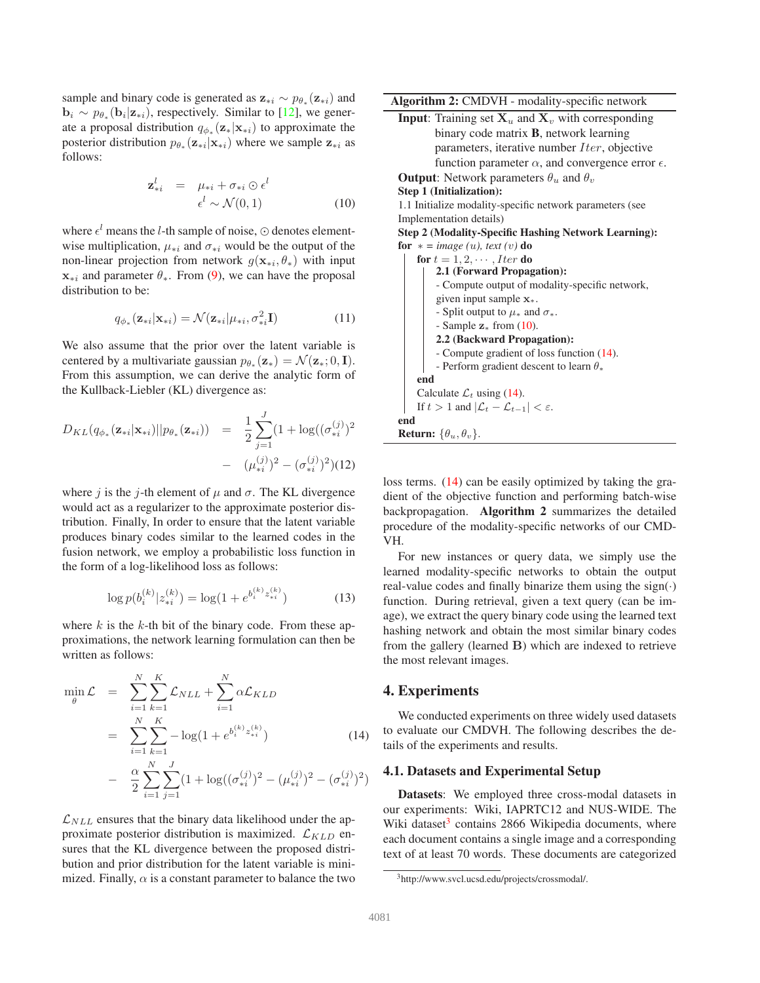<span id="page-4-3"></span>sample and binary code is generated as  $z_{\ast i} \sim p_{\theta_{\ast}}(z_{\ast i})$  and  $\mathbf{b}_i \sim p_{\theta_*}(\mathbf{b}_i | \mathbf{z}_{*i})$ , respectively. Similar to [\[12\]](#page-8-31), we generate a proposal distribution  $q_{\phi_*}(\mathbf{z}_*|\mathbf{x}_{*i})$  to approximate the posterior distribution  $p_{\theta_*}(\mathbf{z}_{*i}|\mathbf{x}_{*i})$  where we sample  $\mathbf{z}_{*i}$  as follows:

<span id="page-4-0"></span>
$$
\mathbf{z}_{*i}^{l} = \mu_{*i} + \sigma_{*i} \odot \epsilon^{l}
$$

$$
\epsilon^{l} \sim \mathcal{N}(0, 1)
$$
(10)

where  $\epsilon^l$  means the *l*-th sample of noise,  $\odot$  denotes elementwise multiplication,  $\mu_{*i}$  and  $\sigma_{*i}$  would be the output of the non-linear projection from network  $g(\mathbf{x}_{*i}, \theta_*)$  with input  $x_{*i}$  and parameter  $\theta_{*}$ . From [\(9\)](#page-3-7), we can have the proposal distribution to be:

$$
q_{\phi_*}(\mathbf{z}_{*i}|\mathbf{x}_{*i}) = \mathcal{N}(\mathbf{z}_{*i}|\mu_{*i}, \sigma_{*i}^2 \mathbf{I})
$$
(11)

We also assume that the prior over the latent variable is centered by a multivariate gaussian  $p_{\theta_*}(\mathbf{z}_*) = \mathcal{N}(\mathbf{z}_*; 0, \mathbf{I}).$ From this assumption, we can derive the analytic form of the Kullback-Liebler (KL) divergence as:

$$
D_{KL}(q_{\phi_*}(\mathbf{z}_{*i}|\mathbf{x}_{*i})||p_{\theta_*}(\mathbf{z}_{*i})) = \frac{1}{2} \sum_{j=1}^{J} (1 + \log((\sigma_{*i}^{(j)})^2 - (\mu_{*i}^{(j)})^2 - (\sigma_{*i}^{(j)})^2)(12)
$$

where j is the j-th element of  $\mu$  and  $\sigma$ . The KL divergence would act as a regularizer to the approximate posterior distribution. Finally, In order to ensure that the latent variable produces binary codes similar to the learned codes in the fusion network, we employ a probabilistic loss function in the form of a log-likelihood loss as follows:

$$
\log p(b_i^{(k)} | z_{\ast i}^{(k)}) = \log(1 + e^{b_i^{(k)} z_{\ast i}^{(k)}})
$$
\n(13)

where  $k$  is the  $k$ -th bit of the binary code. From these approximations, the network learning formulation can then be written as follows:

<span id="page-4-1"></span>
$$
\min_{\theta} \mathcal{L} = \sum_{i=1}^{N} \sum_{k=1}^{K} \mathcal{L}_{NLL} + \sum_{i=1}^{N} \alpha \mathcal{L}_{KLD}
$$
\n
$$
= \sum_{i=1}^{N} \sum_{k=1}^{K} -\log(1 + e^{b_i^{(k)} z_{*i}^{(k)}})
$$
\n
$$
- \frac{\alpha}{2} \sum_{i=1}^{N} \sum_{j=1}^{J} (1 + \log((\sigma_{*i}^{(j)})^2 - (\mu_{*i}^{(j)})^2 - (\sigma_{*i}^{(j)})^2)
$$
\n(14)

 $\mathcal{L}_{NLL}$  ensures that the binary data likelihood under the approximate posterior distribution is maximized.  $\mathcal{L}_{KLD}$  ensures that the KL divergence between the proposed distribution and prior distribution for the latent variable is minimized. Finally,  $\alpha$  is a constant parameter to balance the two **Algorithm 2:** CMDVH - modality-specific network

**Input**: Training set  $X_u$  and  $X_v$  with corresponding binary code matrix **B**, network learning parameters, iterative number  $Iter$ , objective function parameter  $\alpha$ , and convergence error  $\epsilon$ . **Output**: Network parameters  $\theta_u$  and  $\theta_v$ **Step 1 (Initialization):**

1.1 Initialize modality-specific network parameters (see Implementation details)

**Step 2 (Modality-Specific Hashing Network Learning): for**  $* = image(u)$ , text  $(v)$  **do** 

| for $t = 1, 2, \cdots$ Iter do                                       |
|----------------------------------------------------------------------|
| 2.1 (Forward Propagation):                                           |
| - Compute output of modality-specific network,                       |
| given input sample $x_*$ .                                           |
| - Split output to $\mu_*$ and $\sigma_*$ .                           |
| - Sample $z$ from (10).                                              |
| 2.2 (Backward Propagation):                                          |
| - Compute gradient of loss function (14).                            |
| - Perform gradient descent to learn $\theta_*$                       |
| end                                                                  |
| Calculate $\mathcal{L}_t$ using (14).                                |
| If $t > 1$ and $ \mathcal{L}_t - \mathcal{L}_{t-1}  < \varepsilon$ . |
| end                                                                  |
| <b>Return:</b> $\{\theta_u, \theta_v\}$ .                            |

loss terms. [\(14\)](#page-4-1) can be easily optimized by taking the gradient of the objective function and performing batch-wise backpropagation. **Algorithm 2** summarizes the detailed procedure of the modality-specific networks of our CMD-VH.

For new instances or query data, we simply use the learned modality-specific networks to obtain the output real-value codes and finally binarize them using the sign $(·)$ function. During retrieval, given a text query (can be image), we extract the query binary code using the learned text hashing network and obtain the most similar binary codes from the gallery (learned B) which are indexed to retrieve the most relevant images.

# **4. Experiments**

We conducted experiments on three widely used datasets to evaluate our CMDVH. The following describes the details of the experiments and results.

## **4.1. Datasets and Experimental Setup**

**Datasets**: We employed three cross-modal datasets in our experiments: Wiki, IAPRTC12 and NUS-WIDE. The Wiki dataset<sup>[3](#page-4-2)</sup> contains 2866 Wikipedia documents, where each document contains a single image and a corresponding text of at least 70 words. These documents are categorized

<span id="page-4-2"></span><sup>3</sup>http://www.svcl.ucsd.edu/projects/crossmodal/.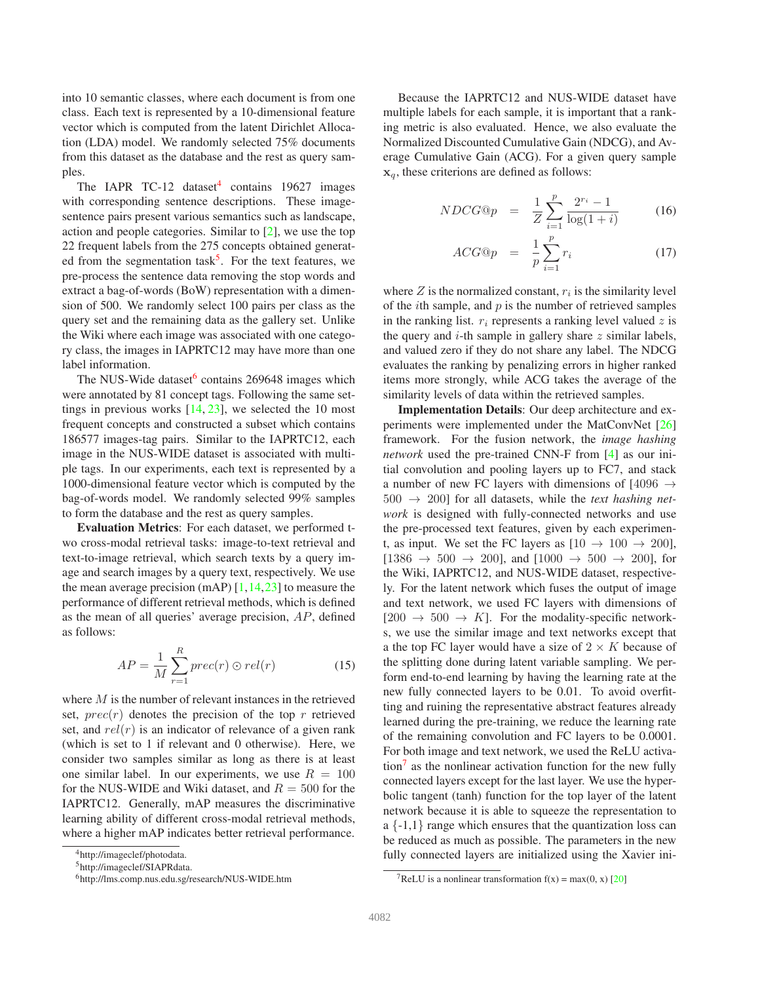<span id="page-5-4"></span>into 10 semantic classes, where each document is from one class. Each text is represented by a 10-dimensional feature vector which is computed from the latent Dirichlet Allocation (LDA) model. We randomly selected 75% documents from this dataset as the database and the rest as query samples.

The IAPR TC-12 dataset<sup>[4](#page-5-0)</sup> contains 19627 images with corresponding sentence descriptions. These imagesentence pairs present various semantics such as landscape, action and people categories. Similar to [\[2\]](#page-8-29), we use the top 22 frequent labels from the 275 concepts obtained generat-ed from the segmentation task<sup>[5](#page-5-1)</sup>. For the text features, we pre-process the sentence data removing the stop words and extract a bag-of-words (BoW) representation with a dimension of 500. We randomly select 100 pairs per class as the query set and the remaining data as the gallery set. Unlike the Wiki where each image was associated with one category class, the images in IAPRTC12 may have more than one label information.

The NUS-Wide dataset<sup>[6](#page-5-2)</sup> contains 269648 images which were annotated by 81 concept tags. Following the same settings in previous works  $[14, 23]$  $[14, 23]$ , we selected the 10 most frequent concepts and constructed a subset which contains 186577 images-tag pairs. Similar to the IAPRTC12, each image in the NUS-WIDE dataset is associated with multiple tags. In our experiments, each text is represented by a 1000-dimensional feature vector which is computed by the bag-of-words model. We randomly selected 99% samples to form the database and the rest as query samples.

**Evaluation Metrics**: For each dataset, we performed two cross-modal retrieval tasks: image-to-text retrieval and text-to-image retrieval, which search texts by a query image and search images by a query text, respectively. We use the mean average precision (mAP)  $[1, 14, 23]$  $[1, 14, 23]$  $[1, 14, 23]$  $[1, 14, 23]$  to measure the performance of different retrieval methods, which is defined as the mean of all queries' average precision,  $AP$ , defined as follows:

$$
AP = \frac{1}{M} \sum_{r=1}^{R} prec(r) \odot rel(r)
$$
 (15)

where  $M$  is the number of relevant instances in the retrieved set,  $prec(r)$  denotes the precision of the top r retrieved set, and  $rel(r)$  is an indicator of relevance of a given rank (which is set to 1 if relevant and 0 otherwise). Here, we consider two samples similar as long as there is at least one similar label. In our experiments, we use  $R = 100$ for the NUS-WIDE and Wiki dataset, and  $R = 500$  for the IAPRTC12. Generally, mAP measures the discriminative learning ability of different cross-modal retrieval methods, where a higher mAP indicates better retrieval performance.

Because the IAPRTC12 and NUS-WIDE dataset have multiple labels for each sample, it is important that a ranking metric is also evaluated. Hence, we also evaluate the Normalized Discounted Cumulative Gain (NDCG), and Average Cumulative Gain (ACG). For a given query sample  $x_a$ , these criterions are defined as follows:

$$
NDCG@p = \frac{1}{Z} \sum_{i=1}^{p} \frac{2^{r_i} - 1}{\log(1+i)}
$$
(16)

$$
ACG@p = \frac{1}{p} \sum_{i=1}^{p} r_i \tag{17}
$$

where  $Z$  is the normalized constant,  $r_i$  is the similarity level of the *i*th sample, and  $p$  is the number of retrieved samples in the ranking list.  $r_i$  represents a ranking level valued  $z$  is the query and  $i$ -th sample in gallery share  $z$  similar labels, and valued zero if they do not share any label. The NDCG evaluates the ranking by penalizing errors in higher ranked items more strongly, while ACG takes the average of the similarity levels of data within the retrieved samples.

**Implementation Details**: Our deep architecture and experiments were implemented under the MatConvNet [\[26\]](#page-8-33) framework. For the fusion network, the *image hashing network* used the pre-trained CNN-F from [\[4\]](#page-8-34) as our initial convolution and pooling layers up to FC7, and stack a number of new FC layers with dimensions of [4096  $\rightarrow$  $500 \rightarrow 200$ ] for all datasets, while the *text hashing network* is designed with fully-connected networks and use the pre-processed text features, given by each experiment, as input. We set the FC layers as  $[10 \rightarrow 100 \rightarrow 200]$ ,  $[1386 \rightarrow 500 \rightarrow 200]$ , and  $[1000 \rightarrow 500 \rightarrow 200]$ , for the Wiki, IAPRTC12, and NUS-WIDE dataset, respectively. For the latent network which fuses the output of image and text network, we used FC layers with dimensions of  $[200 \rightarrow 500 \rightarrow K]$ . For the modality-specific networks, we use the similar image and text networks except that a the top FC layer would have a size of  $2 \times K$  because of the splitting done during latent variable sampling. We perform end-to-end learning by having the learning rate at the new fully connected layers to be 0.01. To avoid overfitting and ruining the representative abstract features already learned during the pre-training, we reduce the learning rate of the remaining convolution and FC layers to be 0.0001. For both image and text network, we used the ReLU activa- $\int$  tion<sup>[7](#page-5-3)</sup> as the nonlinear activation function for the new fully connected layers except for the last layer. We use the hyperbolic tangent (tanh) function for the top layer of the latent network because it is able to squeeze the representation to a  $\{-1,1\}$  range which ensures that the quantization loss can be reduced as much as possible. The parameters in the new fully connected layers are initialized using the Xavier ini-

<sup>4</sup>http://imageclef/photodata.

<span id="page-5-0"></span><sup>5</sup>http://imageclef/SIAPRdata.

<span id="page-5-2"></span><span id="page-5-1"></span><sup>6</sup>http://lms.comp.nus.edu.sg/research/NUS-WIDE.htm

<span id="page-5-3"></span><sup>&</sup>lt;sup>7</sup>ReLU is a nonlinear transformation  $f(x) = max(0, x)$  [\[20\]](#page-8-35)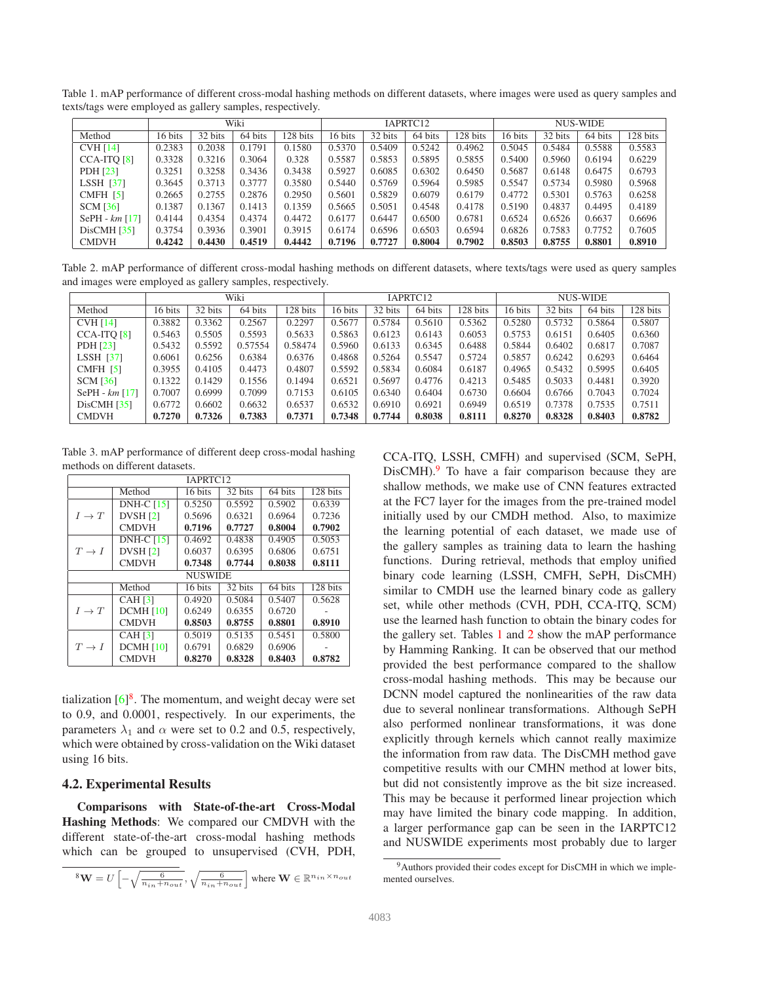<span id="page-6-5"></span>Table 1. mAP performance of different cross-modal hashing methods on different datasets, where images were used as query samples and texts/tags were employed as gallery samples, respectively.

<span id="page-6-2"></span>

|                  | Wiki    |         |         | IAPRTC12 |         |         |         | <b>NUS-WIDE</b> |         |         |         |          |
|------------------|---------|---------|---------|----------|---------|---------|---------|-----------------|---------|---------|---------|----------|
| Method           | 16 bits | 32 bits | 64 bits | 128 bits | 16 bits | 32 bits | 64 bits | 128 bits        | 16 bits | 32 bits | 64 bits | 128 bits |
| <b>CVH [14]</b>  | 0.2383  | 0.2038  | 0.1791  | 0.1580   | 0.5370  | 0.5409  | 0.5242  | 0.4962          | 0.5045  | 0.5484  | 0.5588  | 0.5583   |
| CCA-ITO [8]      | 0.3328  | 0.3216  | 0.3064  | 0.328    | 0.5587  | 0.5853  | 0.5895  | 0.5855          | 0.5400  | 0.5960  | 0.6194  | 0.6229   |
| PDH [23]         | 0.3251  | 0.3258  | 0.3436  | 0.3438   | 0.5927  | 0.6085  | 0.6302  | 0.6450          | 0.5687  | 0.6148  | 0.6475  | 0.6793   |
| LSSH $[37]$      | 0.3645  | 0.3713  | 0.3777  | 0.3580   | 0.5440  | 0.5769  | 0.5964  | 0.5985          | 0.5547  | 0.5734  | 0.5980  | 0.5968   |
| CMFH $[5]$       | 0.2665  | 0.2755  | 0.2876  | 0.2950   | 0.5601  | 0.5829  | 0.6079  | 0.6179          | 0.4772  | 0.5301  | 0.5763  | 0.6258   |
| <b>SCM [36]</b>  | 0.1387  | 0.1367  | 0.1413  | 0.1359   | 0.5665  | 0.5051  | 0.4548  | 0.4178          | 0.5190  | 0.4837  | 0.4495  | 0.4189   |
| SePH - $km$ [17] | 0.4144  | 0.4354  | 0.4374  | 0.4472   | 0.6177  | 0.6447  | 0.6500  | 0.6781          | 0.6524  | 0.6526  | 0.6637  | 0.6696   |
| DisCMH [35]      | 0.3754  | 0.3936  | 0.3901  | 0.3915   | 0.6174  | 0.6596  | 0.6503  | 0.6594          | 0.6826  | 0.7583  | 0.7752  | 0.7605   |
| <b>CMDVH</b>     | 0.4242  | 0.4430  | 0.4519  | 0.4442   | 0.7196  | 0.7727  | 0.8004  | 0.7902          | 0.8503  | 0.8755  | 0.8801  | 0.8910   |

Table 2. mAP performance of different cross-modal hashing methods on different datasets, where texts/tags were used as query samples and images were employed as gallery samples, respectively.

<span id="page-6-3"></span>

|                  | Wiki    |         |         | IAPRTC12 |         |         |         | NUS-WIDE |         |         |         |          |
|------------------|---------|---------|---------|----------|---------|---------|---------|----------|---------|---------|---------|----------|
| Method           | 16 bits | 32 bits | 64 bits | 128 bits | 16 bits | 32 bits | 64 bits | 128 bits | 16 bits | 32 bits | 64 bits | 128 bits |
| CVH[14]          | 0.3882  | 0.3362  | 0.2567  | 0.2297   | 0.5677  | 0.5784  | 0.5610  | 0.5362   | 0.5280  | 0.5732  | 0.5864  | 0.5807   |
| CCA-ITO [8]      | 0.5463  | 0.5505  | 0.5593  | 0.5633   | 0.5863  | 0.6123  | 0.6143  | 0.6053   | 0.5753  | 0.6151  | 0.6405  | 0.6360   |
| PDH [23]         | 0.5432  | 0.5592  | 0.57554 | 0.58474  | 0.5960  | 0.6133  | 0.6345  | 0.6488   | 0.5844  | 0.6402  | 0.6817  | 0.7087   |
| LSSH $[37]$      | 0.6061  | 0.6256  | 0.6384  | 0.6376   | 0.4868  | 0.5264  | 0.5547  | 0.5724   | 0.5857  | 0.6242  | 0.6293  | 0.6464   |
| $CMFH$ [5]       | 0.3955  | 0.4105  | 0.4473  | 0.4807   | 0.5592  | 0.5834  | 0.6084  | 0.6187   | 0.4965  | 0.5432  | 0.5995  | 0.6405   |
| <b>SCM [36]</b>  | 0.1322  | 0.1429  | 0.1556  | 0.1494   | 0.6521  | 0.5697  | 0.4776  | 0.4213   | 0.5485  | 0.5033  | 0.4481  | 0.3920   |
| SePH - $km$ [17] | 0.7007  | 0.6999  | 0.7099  | 0.7153   | 0.6105  | 0.6340  | 0.6404  | 0.6730   | 0.6604  | 0.6766  | 0.7043  | 0.7024   |
| DisCMH [35]      | 0.6772  | 0.6602  | 0.6632  | 0.6537   | 0.6532  | 0.6910  | 0.6921  | 0.6949   | 0.6519  | 0.7378  | 0.7535  | 0.7511   |
| <b>CMDVH</b>     | 0.7270  | 0.7326  | 0.7383  | 0.7371   | 0.7348  | 0.7744  | 0.8038  | 0.8111   | 0.8270  | 0.8328  | 0.8403  | 0.8782   |

Table 3. mAP performance of different deep cross-modal hashing methods on different datasets.

<span id="page-6-4"></span>

| IAPRTC <sub>12</sub> |                   |         |         |         |          |  |  |  |  |  |
|----------------------|-------------------|---------|---------|---------|----------|--|--|--|--|--|
|                      | Method            | 16 bits | 32 bits | 64 bits | 128 bits |  |  |  |  |  |
|                      | DNH-C $[15]$      | 0.5250  | 0.5592  | 0.5902  | 0.6339   |  |  |  |  |  |
| $I \to T$            | <b>DVSH</b> [2]   | 0.5696  | 0.6321  | 0.6964  | 0.7236   |  |  |  |  |  |
|                      | <b>CMDVH</b>      | 0.7196  | 0.7727  | 0.8004  | 0.7902   |  |  |  |  |  |
|                      | <b>DNH-C [15]</b> | 0.4692  | 0.4838  | 0.4905  | 0.5053   |  |  |  |  |  |
| $T \to I$            | DVSH[2]           | 0.6037  | 0.6395  | 0.6806  | 0.6751   |  |  |  |  |  |
|                      | <b>CMDVH</b>      | 0.7348  | 0.7744  | 0.8038  | 0.8111   |  |  |  |  |  |
|                      | <b>NUSWIDE</b>    |         |         |         |          |  |  |  |  |  |
|                      | Method            | 16 bits | 32 bits | 64 bits | 128 bits |  |  |  |  |  |
|                      | <b>CAH</b> [3]    | 0.4920  | 0.5084  | 0.5407  | 0.5628   |  |  |  |  |  |
| $I \rightarrow T$    | <b>DCMH</b> [10]  | 0.6249  | 0.6355  | 0.6720  |          |  |  |  |  |  |
|                      | <b>CMDVH</b>      | 0.8503  | 0.8755  | 0.8801  | 0.8910   |  |  |  |  |  |
|                      | CAH[3]            | 0.5019  | 0.5135  | 0.5451  | 0.5800   |  |  |  |  |  |
| $T \to I$            | <b>DCMH</b> [10]  | 0.6791  | 0.6829  | 0.6906  |          |  |  |  |  |  |
|                      | <b>CMDVH</b>      | 0.8270  | 0.8328  | 0.8403  | 0.8782   |  |  |  |  |  |

tialization  $[6]^8$  $[6]^8$  $[6]^8$ . The momentum, and weight decay were set to 0.9, and 0.0001, respectively. In our experiments, the parameters  $\lambda_1$  and  $\alpha$  were set to 0.2 and 0.5, respectively, which were obtained by cross-validation on the Wiki dataset using 16 bits.

## **4.2. Experimental Results**

**Comparisons with State-of-the-art Cross-Modal Hashing Methods**: We compared our CMDVH with the different state-of-the-art cross-modal hashing methods which can be grouped to unsupervised (CVH, PDH,

<span id="page-6-0"></span><sup>8</sup>
$$
W = U\left[-\sqrt{\frac{6}{n_{in}+n_{out}}}, \sqrt{\frac{6}{n_{in}+n_{out}}}\right]
$$
 where  $W \in \mathbb{R}^{n_{in} \times n_{out}}$ 

CCA-ITQ, LSSH, CMFH) and supervised (SCM, SePH,  $DisCMH$ ).<sup>[9](#page-6-1)</sup> To have a fair comparison because they are shallow methods, we make use of CNN features extracted at the FC7 layer for the images from the pre-trained model initially used by our CMDH method. Also, to maximize the learning potential of each dataset, we made use of the gallery samples as training data to learn the hashing functions. During retrieval, methods that employ unified binary code learning (LSSH, CMFH, SePH, DisCMH) similar to CMDH use the learned binary code as gallery set, while other methods (CVH, PDH, CCA-ITQ, SCM) use the learned hash function to obtain the binary codes for the gallery set. Tables [1](#page-6-2) and [2](#page-6-3) show the mAP performance by Hamming Ranking. It can be observed that our method provided the best performance compared to the shallow cross-modal hashing methods. This may be because our DCNN model captured the nonlinearities of the raw data due to several nonlinear transformations. Although SePH also performed nonlinear transformations, it was done explicitly through kernels which cannot really maximize the information from raw data. The DisCMH method gave competitive results with our CMHN method at lower bits, but did not consistently improve as the bit size increased. This may be because it performed linear projection which may have limited the binary code mapping. In addition, a larger performance gap can be seen in the IARPTC12 and NUSWIDE experiments most probably due to larger

<span id="page-6-1"></span><sup>9</sup>Authors provided their codes except for DisCMH in which we implemented ourselves.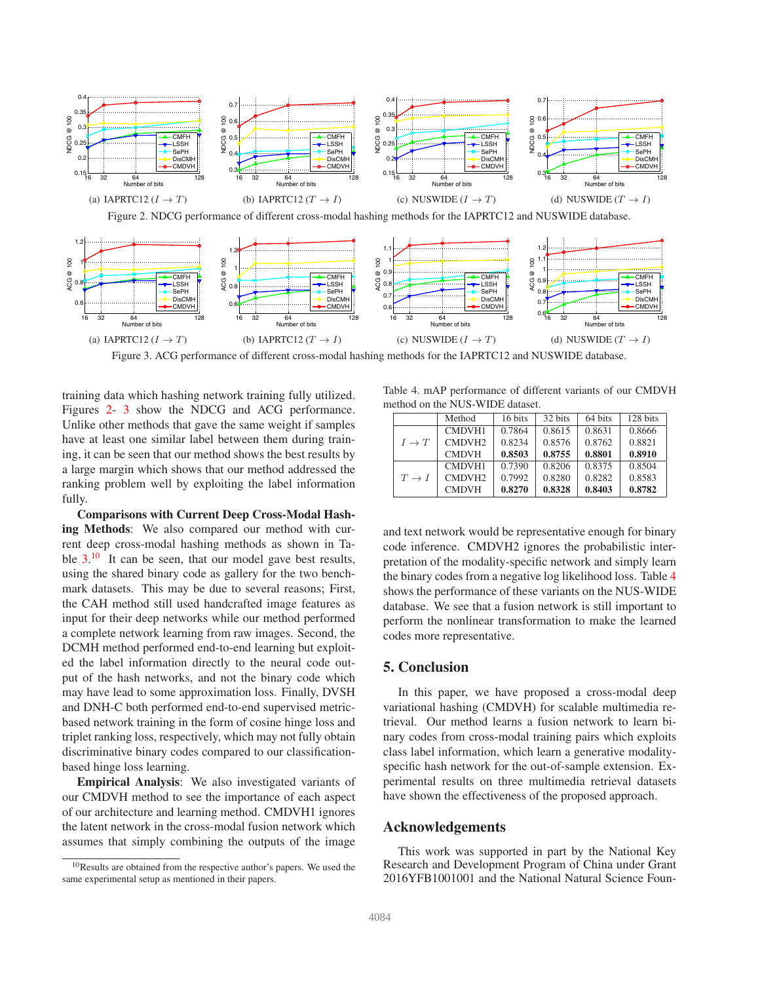

<span id="page-7-0"></span>Figure 2. NDCG performance of different cross-modal hashing methods for the IAPRTC12 and NUSWIDE database.



<span id="page-7-1"></span>Figure 3. ACG performance of different cross-modal hashing methods for the IAPRTC12 and NUSWIDE database.

training data which hashing network training fully utilized. Figures [2-](#page-7-0) [3](#page-7-1) show the NDCG and ACG performance. Unlike other methods that gave the same weight if samples have at least one similar label between them during training, it can be seen that our method shows the best results by a large margin which shows that our method addressed the ranking problem well by exploiting the label information fully.

**Comparisons with Current Deep Cross-Modal Hashing Methods**: We also compared our method with current deep cross-modal hashing methods as shown in Table  $3.^{10}$  $3.^{10}$  $3.^{10}$  $3.^{10}$  It can be seen, that our model gave best results, using the shared binary code as gallery for the two benchmark datasets. This may be due to several reasons; First, the CAH method still used handcrafted image features as input for their deep networks while our method performed a complete network learning from raw images. Second, the DCMH method performed end-to-end learning but exploited the label information directly to the neural code output of the hash networks, and not the binary code which may have lead to some approximation loss. Finally, DVSH and DNH-C both performed end-to-end supervised metricbased network training in the form of cosine hinge loss and triplet ranking loss, respectively, which may not fully obtain discriminative binary codes compared to our classificationbased hinge loss learning.

**Empirical Analysis**: We also investigated variants of our CMDVH method to see the importance of each aspect of our architecture and learning method. CMDVH1 ignores the latent network in the cross-modal fusion network which assumes that simply combining the outputs of the image

Table 4. mAP performance of different variants of our CMDVH method on the NUS-WIDE dataset.

<span id="page-7-3"></span>

|                   | Method             | 16 bits | 32 bits | 64 bits | 128 bits |
|-------------------|--------------------|---------|---------|---------|----------|
|                   | <b>CMDVH1</b>      | 0.7864  | 0.8615  | 0.8631  | 0.8666   |
| $I \to T$         | CMDVH <sub>2</sub> | 0.8234  | 0.8576  | 0.8762  | 0.8821   |
|                   | <b>CMDVH</b>       | 0.8503  | 0.8755  | 0.8801  | 0.8910   |
| $T \rightarrow I$ | <b>CMDVH1</b>      | 0.7390  | 0.8206  | 0.8375  | 0.8504   |
|                   | CMDVH <sub>2</sub> | 0.7992  | 0.8280  | 0.8282  | 0.8583   |
|                   | <b>CMDVH</b>       | 0.8270  | 0.8328  | 0.8403  | 0.8782   |

and text network would be representative enough for binary code inference. CMDVH2 ignores the probabilistic interpretation of the modality-specific network and simply learn the binary codes from a negative log likelihood loss. Table [4](#page-7-3) shows the performance of these variants on the NUS-WIDE database. We see that a fusion network is still important to perform the nonlinear transformation to make the learned codes more representative.

#### **5. Conclusion**

In this paper, we have proposed a cross-modal deep variational hashing (CMDVH) for scalable multimedia retrieval. Our method learns a fusion network to learn binary codes from cross-modal training pairs which exploits class label information, which learn a generative modalityspecific hash network for the out-of-sample extension. Experimental results on three multimedia retrieval datasets have shown the effectiveness of the proposed approach.

#### **Acknowledgements**

This work was supported in part by the National Key Research and Development Program of China under Grant 2016YFB1001001 and the National Natural Science Foun-

<span id="page-7-2"></span><sup>10</sup>Results are obtained from the respective author's papers. We used the same experimental setup as mentioned in their papers.